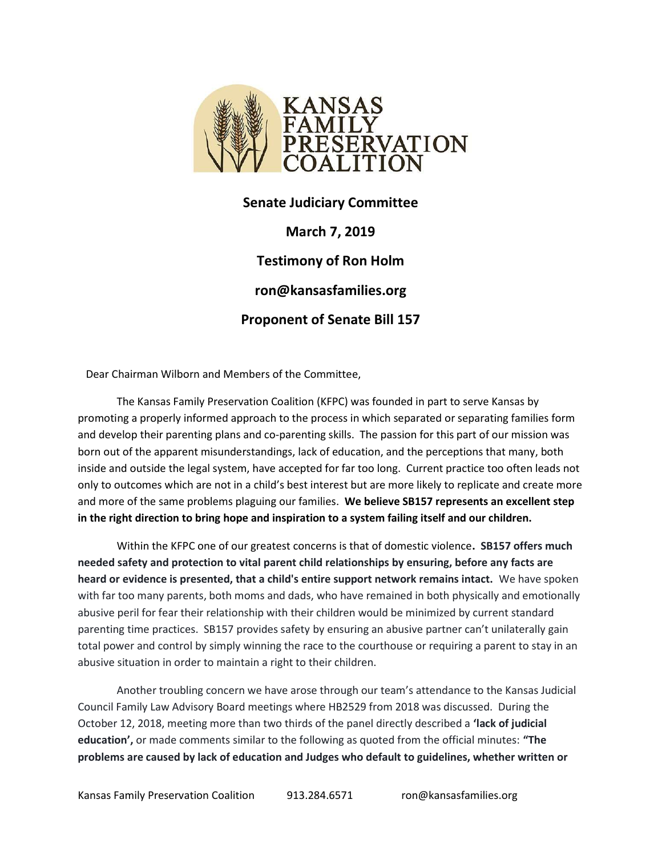

Senate Judiciary Committee March 7, 2019 Testimony of Ron Holm ron@kansasfamilies.org Proponent of Senate Bill 157

Dear Chairman Wilborn and Members of the Committee,

 The Kansas Family Preservation Coalition (KFPC) was founded in part to serve Kansas by promoting a properly informed approach to the process in which separated or separating families form and develop their parenting plans and co-parenting skills. The passion for this part of our mission was born out of the apparent misunderstandings, lack of education, and the perceptions that many, both inside and outside the legal system, have accepted for far too long. Current practice too often leads not only to outcomes which are not in a child's best interest but are more likely to replicate and create more and more of the same problems plaguing our families. We believe SB157 represents an excellent step in the right direction to bring hope and inspiration to a system failing itself and our children.

Within the KFPC one of our greatest concerns is that of domestic violence. SB157 offers much needed safety and protection to vital parent child relationships by ensuring, before any facts are heard or evidence is presented, that a child's entire support network remains intact. We have spoken with far too many parents, both moms and dads, who have remained in both physically and emotionally abusive peril for fear their relationship with their children would be minimized by current standard parenting time practices. SB157 provides safety by ensuring an abusive partner can't unilaterally gain total power and control by simply winning the race to the courthouse or requiring a parent to stay in an abusive situation in order to maintain a right to their children.

 Another troubling concern we have arose through our team's attendance to the Kansas Judicial Council Family Law Advisory Board meetings where HB2529 from 2018 was discussed. During the October 12, 2018, meeting more than two thirds of the panel directly described a 'lack of judicial education', or made comments similar to the following as quoted from the official minutes: "The problems are caused by lack of education and Judges who default to guidelines, whether written or